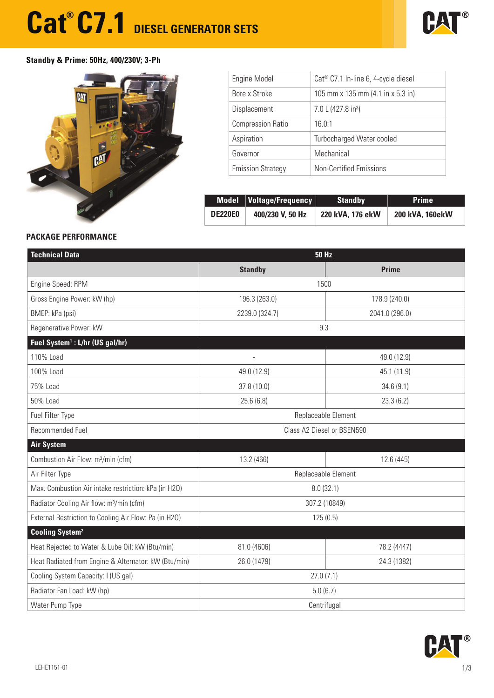# **Cat<sup>®</sup> C7.1** DIESEL GENERATOR SETS



## **Standby & Prime: 50Hz, 400/230V; 3-Ph**



| Engine Model             | Cat® C7.1 In-line 6, 4-cycle diesel                  |
|--------------------------|------------------------------------------------------|
| Bore x Stroke            | 105 mm x 135 mm $(4.1 \text{ in } x 5.3 \text{ in})$ |
| Displacement             | 7.0 L (427.8 in <sup>3</sup> )                       |
| <b>Compression Ratio</b> | 16.0:1                                               |
| Aspiration               | Turbocharged Water cooled                            |
| Governor                 | Mechanical                                           |
| <b>Emission Strategy</b> | <b>Non-Certified Emissions</b>                       |

|                | Model Voltage/Frequency | <b>Standby</b>   | <b>Prime</b>           |
|----------------|-------------------------|------------------|------------------------|
| <b>DE220E0</b> | 400/230 V, 50 Hz        | 220 kVA, 176 ekW | <b>200 kVA, 160ekW</b> |

### **PACKAGE PERFORMANCE**

| <b>Technical Data</b>                                 | <b>50 Hz</b>                   |                |  |  |
|-------------------------------------------------------|--------------------------------|----------------|--|--|
|                                                       | <b>Standby</b>                 | <b>Prime</b>   |  |  |
| Engine Speed: RPM                                     | 1500                           |                |  |  |
| Gross Engine Power: kW (hp)                           | 196.3 (263.0)<br>178.9 (240.0) |                |  |  |
| BMEP: kPa (psi)                                       | 2239.0 (324.7)                 | 2041.0 (296.0) |  |  |
| Regenerative Power: kW                                | 9.3                            |                |  |  |
| Fuel System <sup>1</sup> : L/hr (US gal/hr)           |                                |                |  |  |
| 110% Load                                             |                                | 49.0 (12.9)    |  |  |
| 100% Load                                             | 49.0 (12.9)                    | 45.1 (11.9)    |  |  |
| 75% Load                                              | 37.8 (10.0)                    | 34.6(9.1)      |  |  |
| 50% Load                                              | 25.6(6.8)                      | 23.3(6.2)      |  |  |
| Fuel Filter Type                                      | Replaceable Element            |                |  |  |
| Recommended Fuel                                      | Class A2 Diesel or BSEN590     |                |  |  |
| <b>Air System</b>                                     |                                |                |  |  |
| Combustion Air Flow: m <sup>3</sup> /min (cfm)        | 13.2 (466)                     | 12.6 (445)     |  |  |
| Air Filter Type                                       | Replaceable Element            |                |  |  |
| Max. Combustion Air intake restriction: kPa (in H2O)  | 8.0(32.1)                      |                |  |  |
| Radiator Cooling Air flow: m <sup>3</sup> /min (cfm)  | 307.2 (10849)                  |                |  |  |
| External Restriction to Cooling Air Flow: Pa (in H2O) | 125(0.5)                       |                |  |  |
| <b>Cooling System<sup>2</sup></b>                     |                                |                |  |  |
| Heat Rejected to Water & Lube Oil: kW (Btu/min)       | 81.0 (4606)                    | 78.2 (4447)    |  |  |
| Heat Radiated from Engine & Alternator: kW (Btu/min)  | 26.0 (1479)                    | 24.3 (1382)    |  |  |
| Cooling System Capacity: I (US gal)                   | 27.0(7.1)                      |                |  |  |
| Radiator Fan Load: kW (hp)                            | 5.0(6.7)                       |                |  |  |
| Water Pump Type                                       | Centrifugal                    |                |  |  |

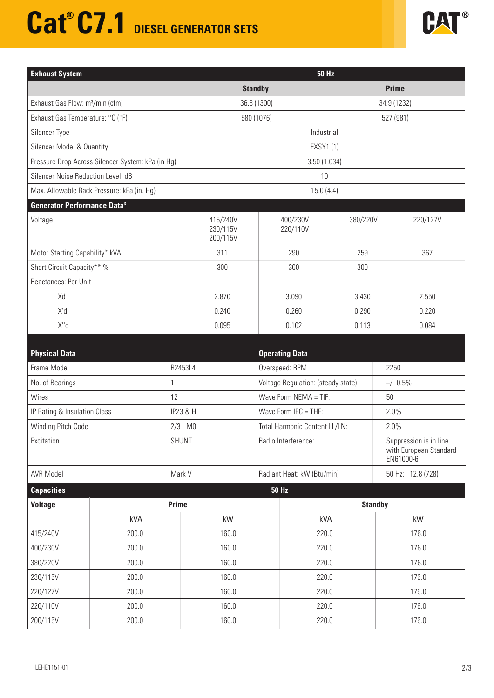# **Cat<sup>®</sup> C7.1** DIESEL GENERATOR SETS



| <b>Exhaust System</b>                             | <b>50 Hz</b>                     |                      |              |          |  |
|---------------------------------------------------|----------------------------------|----------------------|--------------|----------|--|
|                                                   | <b>Standby</b>                   |                      | <b>Prime</b> |          |  |
| Exhaust Gas Flow: m <sup>3</sup> /min (cfm)       | 36.8 (1300)                      |                      | 34.9 (1232)  |          |  |
| Exhaust Gas Temperature: °C (°F)                  | 580 (1076)                       | 527 (981)            |              |          |  |
| Silencer Type                                     | Industrial                       |                      |              |          |  |
| Silencer Model & Quantity                         | EXSY1 (1)                        |                      |              |          |  |
| Pressure Drop Across Silencer System: kPa (in Hg) | 3.50(1.034)                      |                      |              |          |  |
| Silencer Noise Reduction Level: dB                | 10                               |                      |              |          |  |
| Max. Allowable Back Pressure: kPa (in. Hg)        | 15.0(4.4)                        |                      |              |          |  |
| <b>Generator Performance Data<sup>3</sup></b>     |                                  |                      |              |          |  |
| Voltage                                           | 415/240V<br>230/115V<br>200/115V | 400/230V<br>220/110V | 380/220V     | 220/127V |  |
| Motor Starting Capability* kVA                    | 311                              | 290                  | 259          | 367      |  |
| Short Circuit Capacity** %                        | 300                              | 300                  | 300          |          |  |
| Reactances: Per Unit                              |                                  |                      |              |          |  |
| Xd                                                | 2.870                            | 3.090                | 3.430        | 2.550    |  |
| X'd                                               | 0.240                            | 0.260                | 0.290        | 0.220    |  |
| X"d                                               | 0.095                            | 0.102                | 0.113        | 0.084    |  |

| <b>Physical Data</b>         |              |                     |                               | <b>Operating Data</b>              |                                                               |  |
|------------------------------|--------------|---------------------|-------------------------------|------------------------------------|---------------------------------------------------------------|--|
| Frame Model                  | R2453L4      |                     | Overspeed: RPM                |                                    | 2250                                                          |  |
| No. of Bearings              | $\mathbf{1}$ |                     |                               | Voltage Regulation: (steady state) | $+/- 0.5%$                                                    |  |
| Wires                        | 12           |                     | Wave Form $NEMA = TIF$ :      |                                    | 50                                                            |  |
| IP Rating & Insulation Class |              | <b>IP23 &amp; H</b> | Wave Form $IEC = THE$ :       |                                    | 2.0%                                                          |  |
| Winding Pitch-Code           | $2/3 - M0$   |                     | Total Harmonic Content LL/LN: |                                    | 2.0%                                                          |  |
| Excitation                   | <b>SHUNT</b> |                     | Radio Interference:           |                                    | Suppression is in line<br>with European Standard<br>EN61000-6 |  |
| <b>AVR Model</b><br>Mark V   |              |                     | Radiant Heat: kW (Btu/min)    |                                    | 50 Hz: 12.8 (728)                                             |  |
|                              |              |                     |                               |                                    |                                                               |  |
| <b>Capacities</b>            |              |                     |                               | <b>50 Hz</b>                       |                                                               |  |
| <b>Voltage</b>               | <b>Prime</b> |                     |                               |                                    | <b>Standby</b>                                                |  |
|                              | kVA          | kW                  |                               | kVA                                | kW                                                            |  |
| 415/240V                     | 200.0        | 160.0               |                               | 220.0                              | 176.0                                                         |  |
| 400/230V                     | 200.0        | 160.0               |                               | 220.0                              | 176.0                                                         |  |
| 380/220V                     | 200.0        | 160.0               |                               | 220.0                              | 176.0                                                         |  |
| 230/115V                     | 200.0        | 160.0               |                               | 220.0                              | 176.0                                                         |  |
| 220/127V                     | 200.0        | 160.0               |                               | 220.0                              | 176.0                                                         |  |
| 220/110V                     | 200.0        | 160.0               |                               | 220.0                              | 176.0                                                         |  |